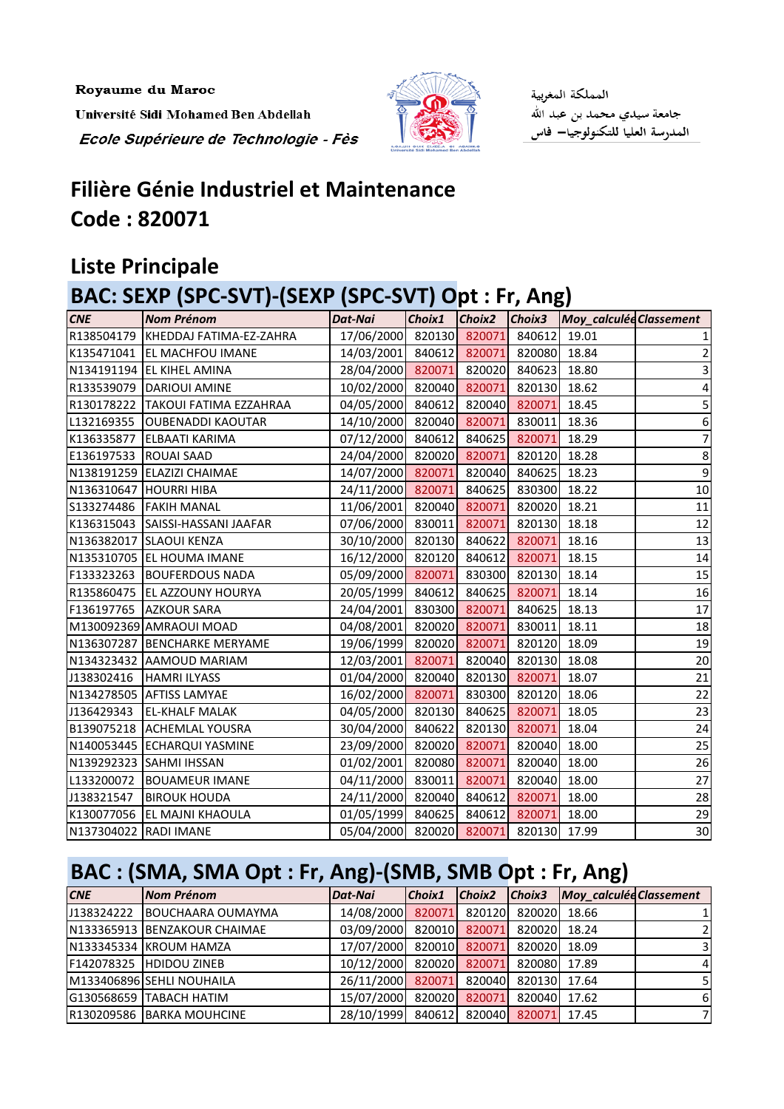Royaume du Maroc

Université Sidi Mohamed Ben Abdellah Ecole Supérieure de Technologie - Fès



المملكة المغربية جامعة سيدي محمد بن عبد الله المدرسة العليا للتكنولوجيا— فاس

## **Filière Génie Industriel et Maintenance Code : 820071**

### **Liste Principale**

### **BAC: SEXP (SPC-SVT)-(SEXP (SPC-SVT) Opt : Fr, Ang)**

| <b>CNE</b>            | <b>Nom Prénom</b>                    | Dat-Nai                               |  | Choix1 Choix2 Choix3 Moy_calculée Classement |                         |
|-----------------------|--------------------------------------|---------------------------------------|--|----------------------------------------------|-------------------------|
|                       | R138504179   KHEDDAJ FATIMA-EZ-ZAHRA | 17/06/2000 820130 820071 840612       |  | 19.01                                        |                         |
|                       | K135471041 EL MACHFOU IMANE          | 14/03/2001 840612 820071 820080       |  | 18.84                                        | 2                       |
|                       | N134191194 EL KIHEL AMINA            | 28/04/2000 820071 820020 840623       |  | 18.80                                        | $\overline{\mathbf{3}}$ |
|                       | R133539079   DARIOUI AMINE           | 10/02/2000 820040 820071 820130 18.62 |  |                                              | $\vert 4 \vert$         |
|                       | R130178222   TAKOUI FATIMA EZZAHRAA  | 04/05/2000 840612 820040 820071       |  | 18.45                                        | 5                       |
|                       | L132169355   OUBENADDI KAOUTAR       | 14/10/2000 820040 820071 830011       |  | 18.36                                        | $\boldsymbol{6}$        |
|                       | K136335877 ELBAATI KARIMA            | 07/12/2000 840612 840625 820071       |  | 18.29                                        | $\overline{z}$          |
| E136197533 ROUAI SAAD |                                      | 24/04/2000 820020 820071 820120       |  | 18.28                                        | 8 <sup>1</sup>          |
|                       | N138191259 ELAZIZI CHAIMAE           | 14/07/2000 820071 820040 840625       |  | 18.23                                        | 9                       |
|                       | N136310647 HOURRI HIBA               | 24/11/2000 820071 840625 830300       |  | 18.22                                        | 10                      |
|                       | S133274486   FAKIH MANAL             | 11/06/2001 820040 820071 820020       |  | 18.21                                        | 11                      |
|                       | K136315043 SAISSI-HASSANI JAAFAR     | 07/06/2000 830011 820071 820130       |  | 18.18                                        | 12                      |
|                       | N136382017 SLAOUI KENZA              | 30/10/2000 820130 840622 820071       |  | 18.16                                        | 13                      |
|                       | N135310705 EL HOUMA IMANE            | 16/12/2000 820120 840612 820071       |  | 18.15                                        | 14                      |
|                       | F133323263 BOUFERDOUS NADA           | 05/09/2000 820071 830300 820130       |  | 18.14                                        | 15                      |
|                       | R135860475   EL AZZOUNY HOURYA       | 20/05/1999 840612 840625 820071       |  | 18.14                                        | 16                      |
|                       | F136197765 AZKOUR SARA               | 24/04/2001 830300 820071 840625       |  | 18.13                                        | 17                      |
|                       | M130092369 AMRAOUI MOAD              | 04/08/2001 820020 820071 830011       |  | 18.11                                        | 18                      |
|                       | N136307287 BENCHARKE MERYAME         | 19/06/1999 820020 820071 820120 18.09 |  |                                              | 19                      |
|                       | N134323432 AAMOUD MARIAM             | 12/03/2001 820071 820040 820130       |  | 18.08                                        | 20                      |
|                       | J138302416   HAMRI ILYASS            | 01/04/2000 820040 820130 820071       |  | 18.07                                        | 21                      |
|                       | N134278505 AFTISS LAMYAE             | 16/02/2000 820071 830300 820120       |  | 18.06                                        | 22                      |
| J136429343            | <b>EL-KHALF MALAK</b>                | 04/05/2000 820130 840625 820071       |  | 18.05                                        | 23                      |
|                       | B139075218 ACHEMLAL YOUSRA           | 30/04/2000 840622 820130 820071       |  | 18.04                                        | 24                      |
|                       | N140053445 ECHARQUI YASMINE          | 23/09/2000 820020 820071 820040       |  | 18.00                                        | 25                      |
|                       | N139292323 SAHMI IHSSAN              | 01/02/2001 820080 820071 820040       |  | 18.00                                        | 26                      |
| L133200072            | <b>BOUAMEUR IMANE</b>                | 04/11/2000 830011 820071 820040       |  | 18.00                                        | 27                      |
| J138321547            | <b>BIROUK HOUDA</b>                  | 24/11/2000 820040 840612 820071       |  | 18.00                                        | 28                      |
|                       | K130077056 EL MAJNI KHAOULA          | 01/05/1999 840625 840612 820071       |  | 18.00                                        | 29                      |
| N137304022 RADI IMANE |                                      | 05/04/2000 820020 820071 820130 17.99 |  |                                              | 30 <sup>°</sup>         |

# **BAC : (SMA, SMA Opt : Fr, Ang)-(SMB, SMB Opt : Fr, Ang)**

| <b>CNE</b> | Nom Prénom                   | Dat-Nai                               | Choix1 | Choix2 |              | Choix3 Moy_calculée Classement |                |
|------------|------------------------------|---------------------------------------|--------|--------|--------------|--------------------------------|----------------|
|            | J138324222 BOUCHAARA OUMAYMA | 14/08/2000 820071 820120 820020 18.66 |        |        |              |                                |                |
|            | N133365913 BENZAKOUR CHAIMAE | 03/09/2000 820010 820071              |        |        | 820020 18.24 |                                |                |
|            | N133345334 KROUM HAMZA       | 17/07/2000 820010 820071              |        |        | 820020 18.09 |                                | $\overline{3}$ |
|            | F142078325 HDIDOU ZINEB      | 10/12/2000 820020 820071 820080 17.89 |        |        |              |                                | $\overline{a}$ |
|            | M133406896 SEHLI NOUHAILA    | 26/11/2000 820071 820040 820130 17.64 |        |        |              |                                | 5 <sub>l</sub> |
|            | G130568659 TABACH HATIM      | 15/07/2000 820020 820071              |        |        | 820040 17.62 |                                | <sup>6</sup>   |
|            | R130209586 BARKA MOUHCINE    | 28/10/1999 840612 820040 820071       |        |        |              | 17.45                          | 71             |